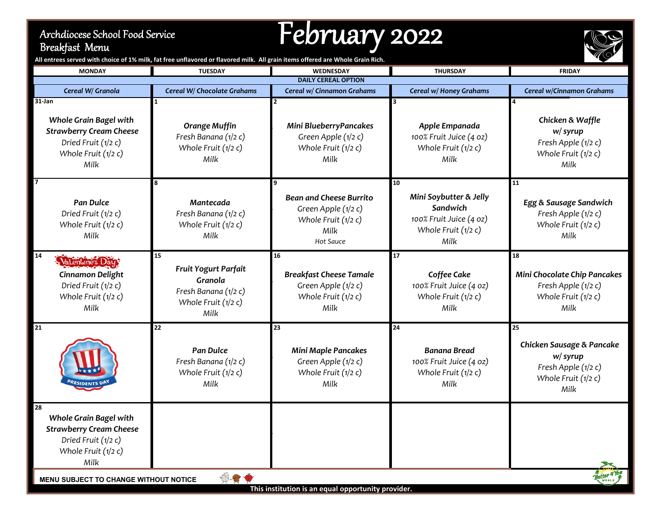## Archdiocese School Food Service Breakfast Menu

## February <sup>2022</sup>



All entrees served with choice of 1% milk, fat free unflavored or flavored milk. All grain items offered are Whole Grain Rich.

| <b>MONDAY</b>                                                                                                                      | <b>TUESDAY</b>                                                                               | WEDNESDAY                                                                                           | <b>THURSDAY</b>                                                                                      | <b>FRIDAY</b>                                                                                        |  |  |
|------------------------------------------------------------------------------------------------------------------------------------|----------------------------------------------------------------------------------------------|-----------------------------------------------------------------------------------------------------|------------------------------------------------------------------------------------------------------|------------------------------------------------------------------------------------------------------|--|--|
|                                                                                                                                    |                                                                                              | <b>DAILY CEREAL OPTION</b>                                                                          |                                                                                                      |                                                                                                      |  |  |
| Cereal W/ Granola                                                                                                                  | Cereal W/ Chocolate Grahams                                                                  | Cereal w/ Cinnamon Grahams                                                                          | Cereal w/ Honey Grahams                                                                              | Cereal w/Cinnamon Grahams                                                                            |  |  |
| $31$ -Jan<br><b>Whole Grain Bagel with</b><br><b>Strawberry Cream Cheese</b><br>Dried Fruit (1/2 c)<br>Whole Fruit (1/2 c)<br>Milk | <b>Orange Muffin</b><br>Fresh Banana (1/2 c)<br>Whole Fruit (1/2 c)<br>Milk                  | Mini BlueberryPancakes<br>Green Apple (1/2 c)<br>Whole Fruit (1/2 c)<br>Milk                        | Apple Empanada<br>100% Fruit Juice (4 oz)<br>Whole Fruit (1/2 c)<br>Milk                             | $\overline{4}$<br>Chicken & Waffle<br>w/ syrup<br>Fresh Apple (1/2 c)<br>Whole Fruit (1/2 c)<br>Milk |  |  |
| <b>Pan Dulce</b><br>Dried Fruit (1/2 c)<br>Whole Fruit (1/2 c)<br>Milk                                                             | Mantecada<br>Fresh Banana (1/2 c)<br>Whole Fruit (1/2 c)<br>Milk                             | <b>Bean and Cheese Burrito</b><br>Green Apple (1/2 c)<br>Whole Fruit $(1/2 c)$<br>Milk<br>Hot Sauce | 10<br>Mini Soybutter & Jelly<br>Sandwich<br>100% Fruit Juice (4 oz)<br>Whole Fruit $(1/2 c)$<br>Milk | 11<br>Egg & Sausage Sandwich<br>Fresh Apple (1/2 c)<br>Whole Fruit (1/2 c)<br>Milk                   |  |  |
| 14<br>Valentines Day:<br><b>Cinnamon Delight</b><br>Dried Fruit (1/2 c)<br>Whole Fruit (1/2 c)<br>Milk                             | 15<br>Fruit Yogurt Parfait<br>Granola<br>Fresh Banana (1/2 c)<br>Whole Fruit (1/2 c)<br>Milk | 16<br><b>Breakfast Cheese Tamale</b><br>Green Apple (1/2 c)<br>Whole Fruit (1/2 c)<br>Milk          | 17<br>Coffee Cake<br>100% Fruit Juice (4 oz)<br>Whole Fruit (1/2 c)<br>Milk                          | 18<br>Mini Chocolate Chip Pancakes<br>Fresh Apple (1/2 c)<br>Whole Fruit (1/2 c)<br>Milk             |  |  |
| $\overline{21}$                                                                                                                    | 22<br><b>Pan Dulce</b><br>Fresh Banana (1/2 c)<br>Whole Fruit $(1/2 c)$<br>Milk              | 23<br><b>Mini Maple Pancakes</b><br>Green Apple (1/2 c)<br>Whole Fruit $(1/2 c)$<br>Milk            | 24<br><b>Banana Bread</b><br>100% Fruit Juice (4 oz)<br>Whole Fruit (1/2 c)<br>Milk                  | 25<br>Chicken Sausage & Pancake<br>w/ syrup<br>Fresh Apple (1/2 c)<br>Whole Fruit $(1/2 c)$<br>Milk  |  |  |
| 28<br>Whole Grain Bagel with<br><b>Strawberry Cream Cheese</b><br>Dried Fruit (1/2 c)<br>Whole Fruit $(1/2 c)$<br>Milk             |                                                                                              |                                                                                                     |                                                                                                      |                                                                                                      |  |  |
| $\oplus$<br>MENU SUBJECT TO CHANGE WITHOUT NOTICE<br>This institution is an equal opportunity provider.                            |                                                                                              |                                                                                                     |                                                                                                      |                                                                                                      |  |  |